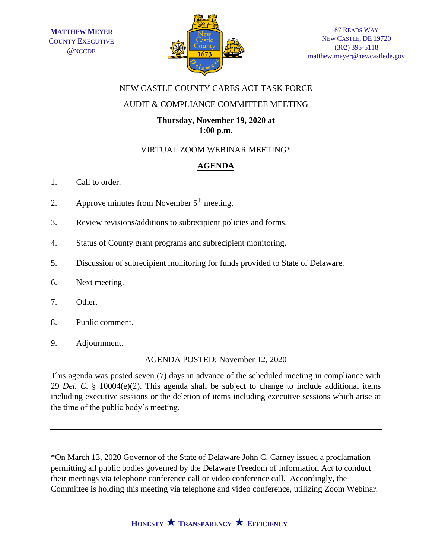

### NEW CASTLE COUNTY CARES ACT TASK FORCE

## AUDIT & COMPLIANCE COMMITTEE MEETING

# **Thursday, November 19, 2020 at 1:00 p.m.**

### VIRTUAL ZOOM WEBINAR MEETING\*

# **AGENDA**

- 1. Call to order.
- 2. Approve minutes from November  $5<sup>th</sup>$  meeting.
- 3. Review revisions/additions to subrecipient policies and forms.
- 4. Status of County grant programs and subrecipient monitoring.
- 5. Discussion of subrecipient monitoring for funds provided to State of Delaware.
- 6. Next meeting.
- 7. Other.
- 8. Public comment.
- 9. Adjournment.

AGENDA POSTED: November 12, 2020

This agenda was posted seven (7) days in advance of the scheduled meeting in compliance with 29 *Del. C.* § 10004(e)(2). This agenda shall be subject to change to include additional items including executive sessions or the deletion of items including executive sessions which arise at the time of the public body's meeting.

\*On March 13, 2020 Governor of the State of Delaware John C. Carney issued a proclamation permitting all public bodies governed by the Delaware Freedom of Information Act to conduct their meetings via telephone conference call or video conference call. Accordingly, the Committee is holding this meeting via telephone and video conference, utilizing Zoom Webinar.